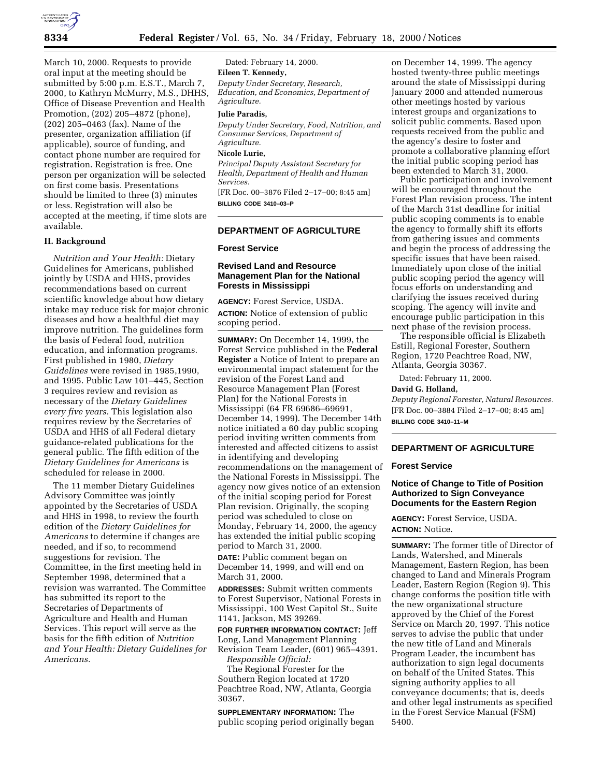

March 10, 2000. Requests to provide oral input at the meeting should be submitted by 5:00 p.m. E.S.T., March 7, 2000, to Kathryn McMurry, M.S., DHHS, Office of Disease Prevention and Health Promotion, (202) 205–4872 (phone), (202) 205–0463 (fax). Name of the presenter, organization affiliation (if applicable), source of funding, and contact phone number are required for registration. Registration is free. One person per organization will be selected on first come basis. Presentations should be limited to three (3) minutes or less. Registration will also be accepted at the meeting, if time slots are available.

# **II. Background**

*Nutrition and Your Health:* Dietary Guidelines for Americans, published jointly by USDA and HHS, provides recommendations based on current scientific knowledge about how dietary intake may reduce risk for major chronic diseases and how a healthful diet may improve nutrition. The guidelines form the basis of Federal food, nutrition education, and information programs. First published in 1980, *Dietary Guidelines* were revised in 1985,1990, and 1995. Public Law 101–445, Section 3 requires review and revision as necessary of the *Dietary Guidelines every five years.* This legislation also requires review by the Secretaries of USDA and HHS of all Federal dietary guidance-related publications for the general public. The fifth edition of the *Dietary Guidelines for Americans* is scheduled for release in 2000.

The 11 member Dietary Guidelines Advisory Committee was jointly appointed by the Secretaries of USDA and HHS in 1998, to review the fourth edition of the *Dietary Guidelines for Americans* to determine if changes are needed, and if so, to recommend suggestions for revision. The Committee, in the first meeting held in September 1998, determined that a revision was warranted. The Committee has submitted its report to the Secretaries of Departments of Agriculture and Health and Human Services. This report will serve as the basis for the fifth edition of *Nutrition and Your Health: Dietary Guidelines for Americans.*

Dated: February 14, 2000.

# **Eileen T. Kennedy,**

*Deputy Under Secretary, Research, Education, and Economics, Department of Agriculture.*

### **Julie Paradis,**

*Deputy Under Secretary, Food, Nutrition, and Consumer Services, Department of Agriculture.*

#### **Nicole Lurie,**

*Principal Deputy Assistant Secretary for Health, Department of Health and Human Services.*

[FR Doc. 00–3876 Filed 2–17–00; 8:45 am] **BILLING CODE 3410–03–P**

# **DEPARTMENT OF AGRICULTURE**

#### **Forest Service**

### **Revised Land and Resource Management Plan for the National Forests in Mississippi**

**AGENCY:** Forest Service, USDA. **ACTION:** Notice of extension of public scoping period.

**SUMMARY:** On December 14, 1999, the Forest Service published in the **Federal Register** a Notice of Intent to prepare an environmental impact statement for the revision of the Forest Land and Resource Management Plan (Forest Plan) for the National Forests in Mississippi (64 FR 69686–69691, December 14, 1999). The December 14th notice initiated a 60 day public scoping period inviting written comments from interested and affected citizens to assist in identifying and developing recommendations on the management of the National Forests in Mississippi. The agency now gives notice of an extension of the initial scoping period for Forest Plan revision. Originally, the scoping period was scheduled to close on Monday, February 14, 2000, the agency has extended the initial public scoping period to March 31, 2000.

**DATE:** Public comment began on December 14, 1999, and will end on March 31, 2000.

**ADDRESSES:** Submit written comments to Forest Supervisor, National Forests in Mississippi, 100 West Capitol St., Suite 1141, Jackson, MS 39269.

**FOR FURTHER INFORMATION CONTACT:** Jeff Long, Land Management Planning Revision Team Leader, (601) 965–4391. *Responsible Official:*

The Regional Forester for the Southern Region located at 1720 Peachtree Road, NW, Atlanta, Georgia 30367.

**SUPPLEMENTARY INFORMATION:** The public scoping period originally began

on December 14, 1999. The agency hosted twenty-three public meetings around the state of Mississippi during January 2000 and attended numerous other meetings hosted by various interest groups and organizations to solicit public comments. Based upon requests received from the public and the agency's desire to foster and promote a collaborative planning effort the initial public scoping period has been extended to March 31, 2000.

Public participation and involvement will be encouraged throughout the Forest Plan revision process. The intent of the March 31st deadline for initial public scoping comments is to enable the agency to formally shift its efforts from gathering issues and comments and begin the process of addressing the specific issues that have been raised. Immediately upon close of the initial public scoping period the agency will focus efforts on understanding and clarifying the issues received during scoping. The agency will invite and encourage public participation in this next phase of the revision process.

The responsible official is Elizabeth Estill, Regional Forester, Southern Region, 1720 Peachtree Road, NW, Atlanta, Georgia 30367.

Dated: February 11, 2000.

### **David G. Holland,**

*Deputy Regional Forester, Natural Resources.* [FR Doc. 00–3884 Filed 2–17–00; 8:45 am] **BILLING CODE 3410–11–M**

# **DEPARTMENT OF AGRICULTURE**

#### **Forest Service**

### **Notice of Change to Title of Position Authorized to Sign Conveyance Documents for the Eastern Region**

**AGENCY:** Forest Service, USDA. **ACTION:** Notice.

**SUMMARY:** The former title of Director of Lands, Watershed, and Minerals Management, Eastern Region, has been changed to Land and Minerals Program Leader, Eastern Region (Region 9). This change conforms the position title with the new organizational structure approved by the Chief of the Forest Service on March 20, 1997. This notice serves to advise the public that under the new title of Land and Minerals Program Leader, the incumbent has authorization to sign legal documents on behalf of the United States. This signing authority applies to all conveyance documents; that is, deeds and other legal instruments as specified in the Forest Service Manual (FSM) 5400.